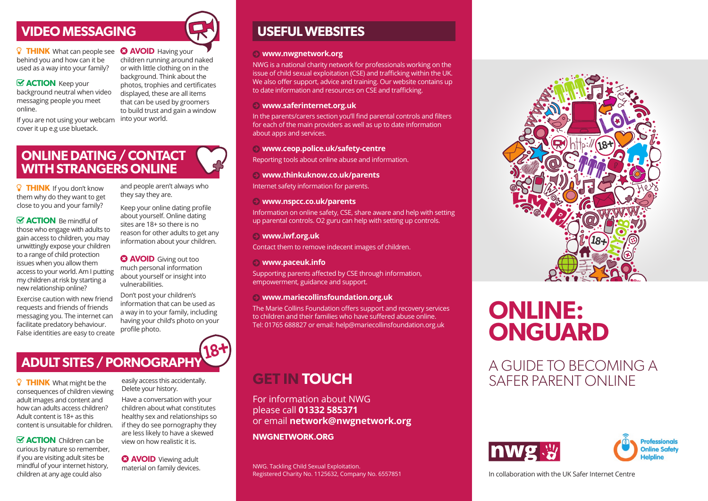### **VIDEO MESSAGING**

**P** THINK What can people see **C AVOID** Having your behind you and how can it be used as a way into your family?

*S* **ACTION** Keep your background neutral when video messaging people you meet online.

If you are not using your webcam cover it up e.g use bluetack.

children running around naked or with little clothing on in the background. Think about the photos, trophies and certificates displayed, these are all items that can be used by groomers to build trust and gain a window into your world.

### **ONLINE DATING / CONTACT WITH STRANGERS ONLINE**

**P** THINK If you don't know them why do they want to get close to you and your family?

*<u>M</u>* ACTION Be mindful of those who engage with adults to gain access to children, you may unwittingly expose your children to a range of child protection issues when you allow them access to your world. Am I putting my children at risk by starting a new relationship online?

Exercise caution with new friend requests and friends of friends messaging you. The internet can facilitate predatory behaviour. False identities are easy to create

how can adults access children? Adult content is 18+ as this content is unsuitable for children.  $\mathbf{\nabla}$  **ACTION** Children can be curious by nature so remember, if you are visiting adult sites be mindful of your internet history, children at any age could also

and people aren't always who they say they are.

Keep your online dating profile about yourself. Online dating sites are 18+ so there is no reason for other adults to get any information about your children.

**a AVOID** Giving out too much personal information about yourself or insight into vulnerabilities.

Don't post your children's information that can be used as a way in to your family, including having your child's photo on your profile photo.

### **USEFUL WEBSITES**

#### ¬ **www.nwgnetwork.org**

NWG is a national charity network for professionals working on the issue of child sexual exploitation (CSE) and trafficking within the UK. We also offer support, advice and training. Our website contains up to date information and resources on CSE and trafficking.

#### ¬ **www.saferinternet.org.uk**

In the parents/carers section you'll find parental controls and filters for each of the main providers as well as up to date information about apps and services.

#### ¬ **www.ceop.police.uk/safety-centre**

Reporting tools about online abuse and information.

#### ¬ **www.thinkuknow.co.uk/parents**

Internet safety information for parents.

#### ¬ **www.nspcc.co.uk/parents**

Information on online safety, CSE, share aware and help with setting up parental controls. O2 guru can help with setting up controls.

#### ¬ **www.iwf.org.uk**

Contact them to remove indecent images of children.

#### ¬ **www.paceuk.info**

Supporting parents affected by CSE through information, empowerment, guidance and support.

#### ¬ **www.mariecollinsfoundation.org.uk**

The Marie Collins Foundation offers support and recovery services to children and their families who have suffered abuse online. Tel: 01765 688827 or email: help@mariecollinsfoundation.org.uk

### **GET IN TOUCH**

For information about NWG please call **01332 585371** or email **network@nwgnetwork.org**

**NWGNETWORK.ORG**

NWG. Tackling Child Sexual Exploitation. Registered Charity No. 1125632, Company No. 6557851



# **ONLINE: ONGUARD**

A GUIDE TO BECOMING A SAFFR PARENT ONLINE





In collaboration with the UK Safer Internet Centre

**P** THINK What might be the consequences of children viewing adult images and content and

**ADULT SITES / PORNOGRAPHY** 

children about what constitutes healthy sex and relationships so if they do see pornography they are less likely to have a skewed view on how realistic it is.

**a AVOID** Viewing adult material on family devices.

easily access this accidentally. Delete your history.

Have a conversation with your